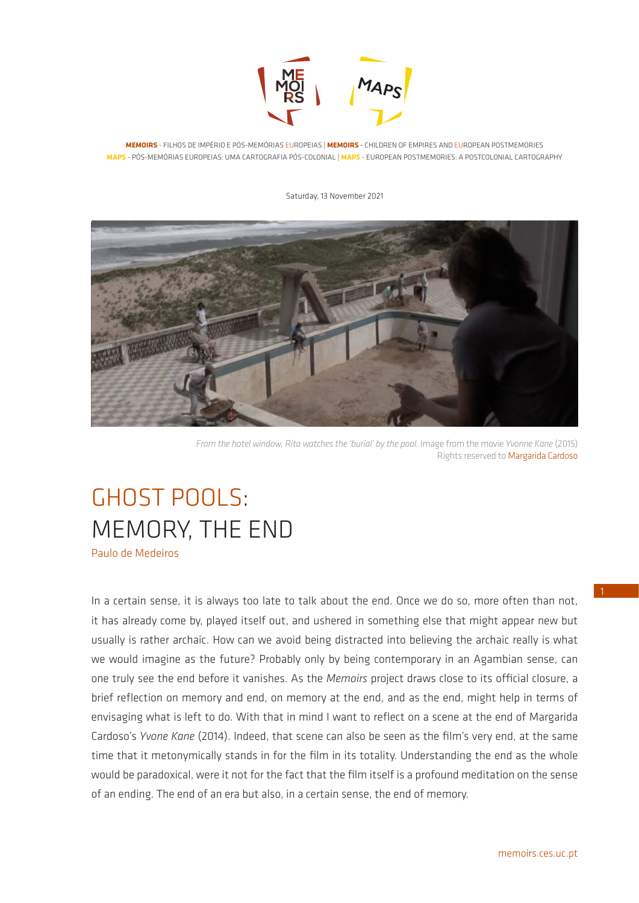

**MEMOIRS** - FILHOS DE IMPÉRIO E PÓS-MEMÓRIAS EUROPEIAS | **MEMOIRS** - CHILDREN OF EMPIRES AND EUROPEAN POSTMEMORIES **MAPS** - PÓS-MEMÓRIAS EUROPEIAS: UMA CARTOGRAFIA PÓS-COLONIAL | **MAPS** - EUROPEAN POSTMEMORIES: A POSTCOLONIAL CARTOGRAPHY

#### Saturday, 13 November 2021



*From the hotel window, Rita watches the 'burial' by the pool.* Image from the movie *Yvonne Kane* (2015) Rights reserved to Margarida Cardoso

# GHOST POOLS: MEMORY, THE END

Paulo de Medeiros

In a certain sense, it is always too late to talk about the end. Once we do so, more often than not, it has already come by, played itself out, and ushered in something else that might appear new but usually is rather archaic. How can we avoid being distracted into believing the archaic really is what we would imagine as the future? Probably only by being contemporary in an Agambian sense, can one truly see the end before it vanishes. As the *Memoirs* project draws close to its official closure, a brief reflection on memory and end, on memory at the end, and as the end, might help in terms of envisaging what is left to do. With that in mind I want to reflect on a scene at the end of Margarida Cardoso's *Yvone Kane* (2014). Indeed, that scene can also be seen as the film's very end, at the same time that it metonymically stands in for the film in its totality. Understanding the end as the whole would be paradoxical, were it not for the fact that the film itself is a profound meditation on the sense of an ending. The end of an era but also, in a certain sense, the end of memory.

1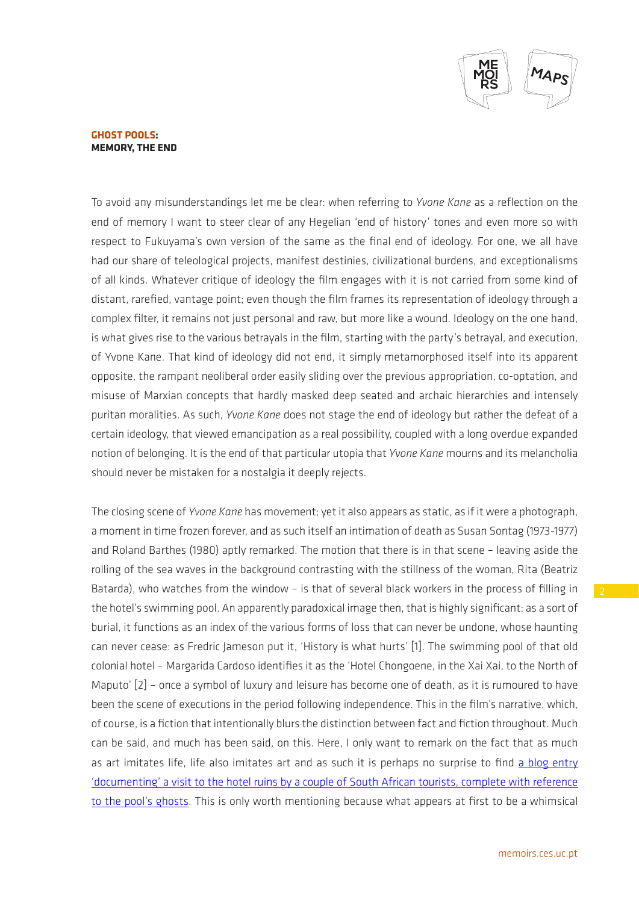

To avoid any misunderstandings let me be clear: when referring to *Yvone Kane* as a reflection on the end of memory I want to steer clear of any Hegelian 'end of history' tones and even more so with respect to Fukuyama's own version of the same as the final end of ideology. For one, we all have had our share of teleological projects, manifest destinies, civilizational burdens, and exceptionalisms of all kinds. Whatever critique of ideology the film engages with it is not carried from some kind of distant, rarefied, vantage point; even though the film frames its representation of ideology through a complex filter, it remains not just personal and raw, but more like a wound. Ideology on the one hand, is what gives rise to the various betrayals in the film, starting with the party's betrayal, and execution, of Yvone Kane. That kind of ideology did not end, it simply metamorphosed itself into its apparent opposite, the rampant neoliberal order easily sliding over the previous appropriation, co-optation, and misuse of Marxian concepts that hardly masked deep seated and archaic hierarchies and intensely puritan moralities. As such, *Yvone Kane* does not stage the end of ideology but rather the defeat of a certain ideology, that viewed emancipation as a real possibility, coupled with a long overdue expanded notion of belonging. It is the end of that particular utopia that *Yvone Kane* mourns and its melancholia should never be mistaken for a nostalgia it deeply rejects.

The closing scene of *Yvone Kane* has movement; yet it also appears as static, as if it were a photograph, a moment in time frozen forever, and as such itself an intimation of death as Susan Sontag (1973-1977) and Roland Barthes (1980) aptly remarked. The motion that there is in that scene – leaving aside the rolling of the sea waves in the background contrasting with the stillness of the woman, Rita (Beatriz Batarda), who watches from the window – is that of several black workers in the process of filling in the hotel's swimming pool. An apparently paradoxical image then, that is highly significant: as a sort of burial, it functions as an index of the various forms of loss that can never be undone, whose haunting can never cease: as Fredric Jameson put it, 'History is what hurts' [1]. The swimming pool of that old colonial hotel – Margarida Cardoso identifies it as the 'Hotel Chongoene, in the Xai Xai, to the North of Maputo' [2] – once a symbol of luxury and leisure has become one of death, as it is rumoured to have been the scene of executions in the period following independence. This in the film's narrative, which, of course, is a fiction that intentionally blurs the distinction between fact and fiction throughout. Much can be said, and much has been said, on this. Here, I only want to remark on the fact that as much as art imitates life, life also imitates art and as such it is perhaps no surprise to find a blog entry ['documenting' a visit to the hotel ruins by a couple of South African tourists, complete with reference](http://becuriousabouttheworld.com/en/haunted-hotel/)  [to the pool's ghosts.](http://becuriousabouttheworld.com/en/haunted-hotel/) This is only worth mentioning because what appears at first to be a whimsical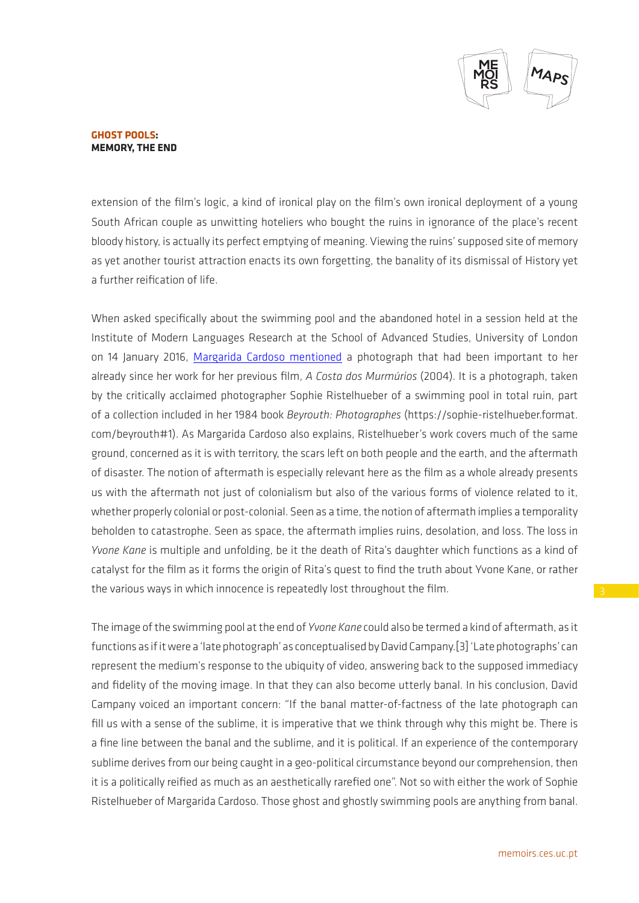

extension of the film's logic, a kind of ironical play on the film's own ironical deployment of a young South African couple as unwitting hoteliers who bought the ruins in ignorance of the place's recent bloody history, is actually its perfect emptying of meaning. Viewing the ruins' supposed site of memory as yet another tourist attraction enacts its own forgetting, the banality of its dismissal of History yet a further reification of life.

When asked specifically about the swimming pool and the abandoned hotel in a session held at the Institute of Modern Languages Research at the School of Advanced Studies, University of London on 14 January 2016, [Margarida Cardoso mentioned](https://www.sas.ac.uk/videos-and-podcasts/culture-language-and-literature/portuguese-film-colony-postcolony-memory) a photograph that had been important to her already since her work for her previous film, *A Costa dos Murmúrios* (2004). It is a photograph, taken by the critically acclaimed photographer Sophie Ristelhueber of a swimming pool in total ruin, part of a collection included in her 1984 book *Beyrouth: Photographes* (https://sophie-ristelhueber.format. com/beyrouth#1). As Margarida Cardoso also explains, Ristelhueber's work covers much of the same ground, concerned as it is with territory, the scars left on both people and the earth, and the aftermath of disaster. The notion of aftermath is especially relevant here as the film as a whole already presents us with the aftermath not just of colonialism but also of the various forms of violence related to it, whether properly colonial or post-colonial. Seen as a time, the notion of aftermath implies a temporality beholden to catastrophe. Seen as space, the aftermath implies ruins, desolation, and loss. The loss in *Yvone Kane* is multiple and unfolding, be it the death of Rita's daughter which functions as a kind of catalyst for the film as it forms the origin of Rita's quest to find the truth about Yvone Kane, or rather the various ways in which innocence is repeatedly lost throughout the film.

The image of the swimming pool at the end of *Yvone Kane* could also be termed a kind of aftermath, as it functions as if it were a 'late photograph' as conceptualised by David Campany.[3] 'Late photographs' can represent the medium's response to the ubiquity of video, answering back to the supposed immediacy and fidelity of the moving image. In that they can also become utterly banal. In his conclusion, David Campany voiced an important concern: "If the banal matter-of-factness of the late photograph can fill us with a sense of the sublime, it is imperative that we think through why this might be. There is a fine line between the banal and the sublime, and it is political. If an experience of the contemporary sublime derives from our being caught in a geo-political circumstance beyond our comprehension, then it is a politically reified as much as an aesthetically rarefied one". Not so with either the work of Sophie Ristelhueber of Margarida Cardoso. Those ghost and ghostly swimming pools are anything from banal.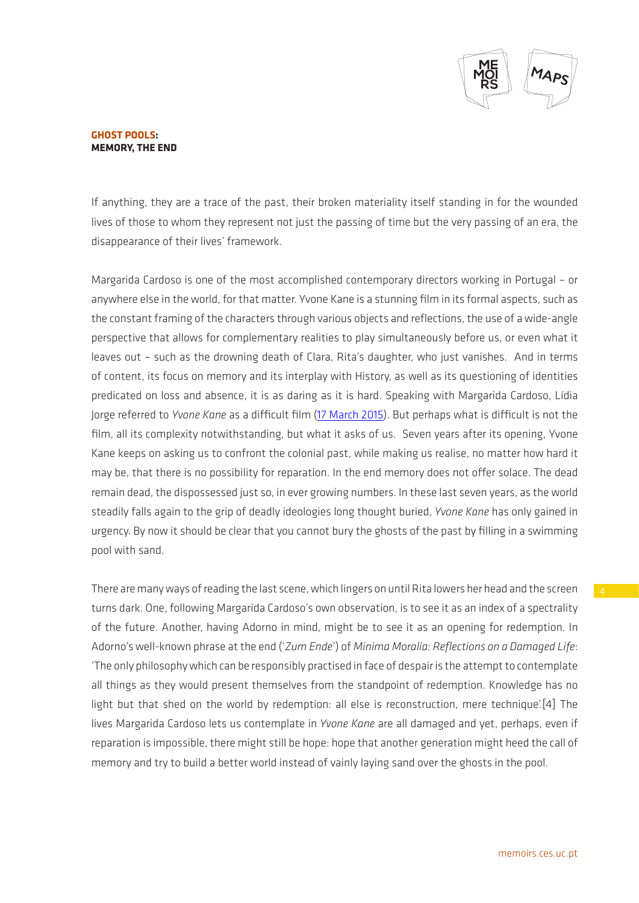

If anything, they are a trace of the past, their broken materiality itself standing in for the wounded lives of those to whom they represent not just the passing of time but the very passing of an era, the disappearance of their lives' framework.

Margarida Cardoso is one of the most accomplished contemporary directors working in Portugal – or anywhere else in the world, for that matter. Yvone Kane is a stunning film in its formal aspects, such as the constant framing of the characters through various objects and reflections, the use of a wide-angle perspective that allows for complementary realities to play simultaneously before us, or even what it leaves out – such as the drowning death of Clara, Rita's daughter, who just vanishes. And in terms of content, its focus on memory and its interplay with History, as well as its questioning of identities predicated on loss and absence, it is as daring as it is hard. Speaking with Margarida Cardoso, Lídia Jorge referred to *Yvone Kane* as a difficult film ([17 March 2015](https://www.youtube.com/watch?v=cYuPcHMV8Jw)). But perhaps what is difficult is not the film, all its complexity notwithstanding, but what it asks of us. Seven years after its opening, Yvone Kane keeps on asking us to confront the colonial past, while making us realise, no matter how hard it may be, that there is no possibility for reparation. In the end memory does not offer solace. The dead remain dead, the dispossessed just so, in ever growing numbers. In these last seven years, as the world steadily falls again to the grip of deadly ideologies long thought buried, *Yvone Kane* has only gained in urgency. By now it should be clear that you cannot bury the ghosts of the past by filling in a swimming pool with sand.

There are many ways of reading the last scene, which lingers on until Rita lowers her head and the screen turns dark. One, following Margarida Cardoso's own observation, is to see it as an index of a spectrality of the future. Another, having Adorno in mind, might be to see it as an opening for redemption. In Adorno's well-known phrase at the end ('*Zum Ende*') of *Minima Moralia: Reflections on a Damaged Life*: 'The only philosophy which can be responsibly practised in face of despair is the attempt to contemplate all things as they would present themselves from the standpoint of redemption. Knowledge has no light but that shed on the world by redemption: all else is reconstruction, mere technique'.[4] The lives Margarida Cardoso lets us contemplate in *Yvone Kane* are all damaged and yet, perhaps, even if reparation is impossible, there might still be hope: hope that another generation might heed the call of memory and try to build a better world instead of vainly laying sand over the ghosts in the pool.